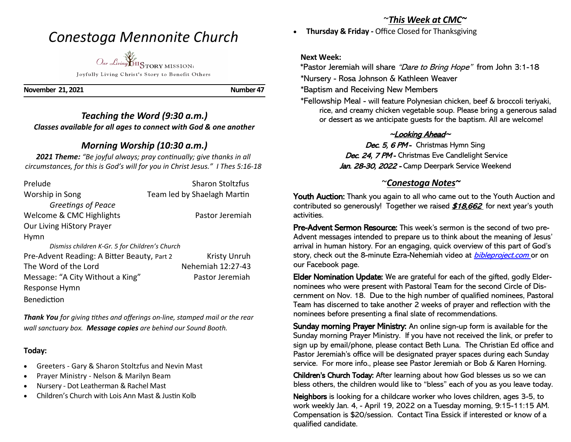# *Conestoga Mennonite Church*

*Our Living* HISTORY MISSION: Joyfully Living Christ's Story to Benefit Others

**November 21, 2021 Number 47** 

## *Teaching the Word (9:30 a.m.) Classes available for all ages to connect with God & one another*

## *Morning Worship (10:30 a.m.)*

*2021 Theme: "Be joyful always; pray continually; give thanks in all circumstances, for this is God's will for you in Christ Jesus." I Thes 5:16-18*

| Prelude                                        | <b>Sharon Stoltzfus</b>     |
|------------------------------------------------|-----------------------------|
| Worship in Song                                | Team led by Shaelagh Martin |
| Greetings of Peace                             |                             |
| Welcome & CMC Highlights                       | Pastor Jeremiah             |
| Our Living HiStory Prayer                      |                             |
| Hymn                                           |                             |
| Dismiss children K-Gr. 5 for Children's Church |                             |
| Pre-Advent Reading: A Bitter Beauty, Part 2    | <b>Kristy Unruh</b>         |
| The Word of the Lord                           | Nehemiah 12:27-43           |
| Message: "A City Without a King"               | Pastor Jeremiah             |
| Response Hymn                                  |                             |
| <b>Benediction</b>                             |                             |

*Thank You for giving tithes and offerings on-line, stamped mail or the rear wall sanctuary box. Message copies are behind our Sound Booth.*

#### **Today:**

- Greeters Gary & Sharon Stoltzfus and Nevin Mast
- Prayer Ministry Nelson & Marilyn Beam
- Nursery Dot Leatherman & Rachel Mast
- Children's Church with Lois Ann Mast & Justin Kolb

# ~*This Week at CMC~*

• **Thursday & Friday -** Office Closed for Thanksgiving

#### **Next Week:**

\*Pastor Jeremiah will share "Dare to Bring Hope" from John 3:1-18 \*Nursery - Rosa Johnson & Kathleen Weaver

\*Baptism and Receiving New Members

 \*Fellowship Meal - will feature Polynesian chicken, beef & broccoli teriyaki, rice, and creamy chicken vegetable soup. Please bring a generous salad or dessert as we anticipate guests for the baptism. All are welcome!

### $\sim$ Looking Ahead $\sim$

Dec. 5, 6 PM - Christmas Hymn Sing Dec. 24, 7 PM - Christmas Eve Candlelight Service Jan. 28-30, 2022 - Camp Deerpark Service Weekend

### ~*Conestoga Notes~*

Youth Auction: Thank you again to all who came out to the Youth Auction and contributed so generously! Together we raised \$18,662 for next year's youth activities.

Pre-Advent Sermon Resource: This week's sermon is the second of two pre-Advent messages intended to prepare us to think about the meaning of Jesus' arrival in human history. For an engaging, quick overview of this part of God's story, check out the 8-minute Ezra-Nehemiah video at *bibleproject.com* or on our Facebook page.

Elder Nomination Update: We are grateful for each of the gifted, godly Eldernominees who were present with Pastoral Team for the second Circle of Discernment on Nov. 18. Due to the high number of qualified nominees, Pastoral Team has discerned to take another 2 weeks of prayer and reflection with the nominees before presenting a final slate of recommendations.

Sunday morning Prayer Ministry: An online sign-up form is available for the Sunday morning Prayer Ministry. If you have not received the link, or prefer to sign up by email/phone, please contact Beth Luna. The Christian Ed office and Pastor Jeremiah's office will be designated prayer spaces during each Sunday service. For more info., please see Pastor Jeremiah or Bob & Karen Horning.

Children's Church Today: After learning about how God blesses us so we can bless others, the children would like to "bless" each of you as you leave today.

Neighbors is looking for a childcare worker who loves children, ages 3-5, to work weekly Jan. 4, - April 19, 2022 on a Tuesday morning, 9:15-11:15 AM. Compensation is \$20/session. Contact Tina Essick if interested or know of a qualified candidate.